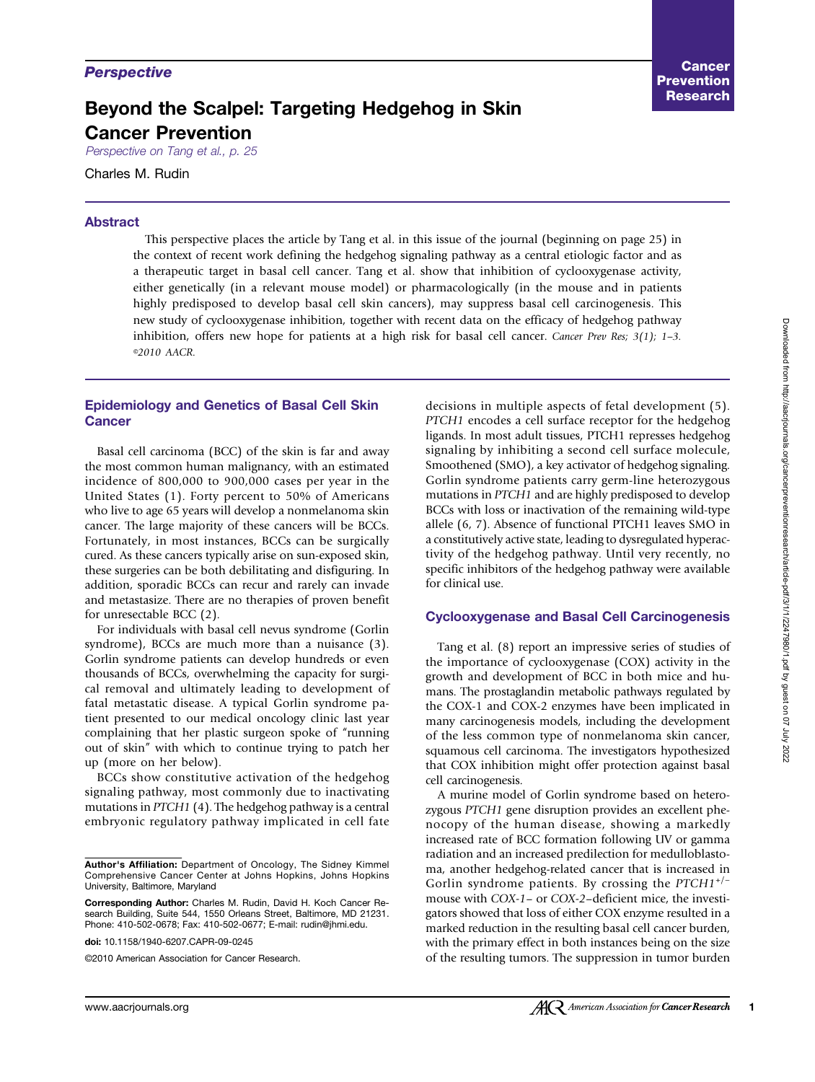# Beyond the Scalpel: Targeting Hedgehog in Skin Cancer Prevention

Perspective on Tang et al., p. 25

Charles M. Rudin

## Abstract

This perspective places the article by Tang et al. in this issue of the journal (beginning on page 25) in the context of recent work defining the hedgehog signaling pathway as a central etiologic factor and as a therapeutic target in basal cell cancer. Tang et al. show that inhibition of cyclooxygenase activity, either genetically (in a relevant mouse model) or pharmacologically (in the mouse and in patients highly predisposed to develop basal cell skin cancers), may suppress basal cell carcinogenesis. This new study of cyclooxygenase inhibition, together with recent data on the efficacy of hedgehog pathway inhibition, offers new hope for patients at a high risk for basal cell cancer. Cancer Prev Res; 3(1); 1-3. ©2010 AACR.

#### Epidemiology and Genetics of Basal Cell Skin Cancer

Basal cell carcinoma (BCC) of the skin is far and away the most common human malignancy, with an estimated incidence of 800,000 to 900,000 cases per year in the United States (1). Forty percent to 50% of Americans who live to age 65 years will develop a nonmelanoma skin cancer. The large majority of these cancers will be BCCs. Fortunately, in most instances, BCCs can be surgically cured. As these cancers typically arise on sun-exposed skin, these surgeries can be both debilitating and disfiguring. In addition, sporadic BCCs can recur and rarely can invade and metastasize. There are no therapies of proven benefit for unresectable BCC (2).

For individuals with basal cell nevus syndrome (Gorlin syndrome), BCCs are much more than a nuisance (3). Gorlin syndrome patients can develop hundreds or even thousands of BCCs, overwhelming the capacity for surgical removal and ultimately leading to development of fatal metastatic disease. A typical Gorlin syndrome patient presented to our medical oncology clinic last year complaining that her plastic surgeon spoke of "running out of skin" with which to continue trying to patch her up (more on her below).

BCCs show constitutive activation of the hedgehog signaling pathway, most commonly due to inactivating mutations in PTCH1 (4). The hedgehog pathway is a central embryonic regulatory pathway implicated in cell fate

decisions in multiple aspects of fetal development (5). PTCH1 encodes a cell surface receptor for the hedgehog ligands. In most adult tissues, PTCH1 represses hedgehog signaling by inhibiting a second cell surface molecule, Smoothened (SMO), a key activator of hedgehog signaling. Gorlin syndrome patients carry germ-line heterozygous mutations in PTCH1 and are highly predisposed to develop BCCs with loss or inactivation of the remaining wild-type allele (6, 7). Absence of functional PTCH1 leaves SMO in a constitutively active state, leading to dysregulated hyperactivity of the hedgehog pathway. Until very recently, no specific inhibitors of the hedgehog pathway were available for clinical use.

#### Cyclooxygenase and Basal Cell Carcinogenesis

Tang et al. (8) report an impressive series of studies of the importance of cyclooxygenase (COX) activity in the growth and development of BCC in both mice and humans. The prostaglandin metabolic pathways regulated by the COX-1 and COX-2 enzymes have been implicated in many carcinogenesis models, including the development of the less common type of nonmelanoma skin cancer, squamous cell carcinoma. The investigators hypothesized that COX inhibition might offer protection against basal cell carcinogenesis.

A murine model of Gorlin syndrome based on heterozygous PTCH1 gene disruption provides an excellent phenocopy of the human disease, showing a markedly increased rate of BCC formation following UV or gamma radiation and an increased predilection for medulloblastoma, another hedgehog-related cancer that is increased in Gorlin syndrome patients. By crossing the  $PTCH1^{+/-}$ mouse with COX-1– or COX-2–deficient mice, the investigators showed that loss of either COX enzyme resulted in a marked reduction in the resulting basal cell cancer burden, with the primary effect in both instances being on the size of the resulting tumors. The suppression in tumor burden

Author's Affiliation: Department of Oncology, The Sidney Kimmel Comprehensive Cancer Center at Johns Hopkins, Johns Hopkins University, Baltimore, Maryland

Corresponding Author: Charles M. Rudin, David H. Koch Cancer Research Building, Suite 544, 1550 Orleans Street, Baltimore, MD 21231. Phone: 410-502-0678; Fax: 410-502-0677; E-mail: rudin@jhmi.edu.

doi: 10.1158/1940-6207.CAPR-09-0245

<sup>©2010</sup> American Association for Cancer Research.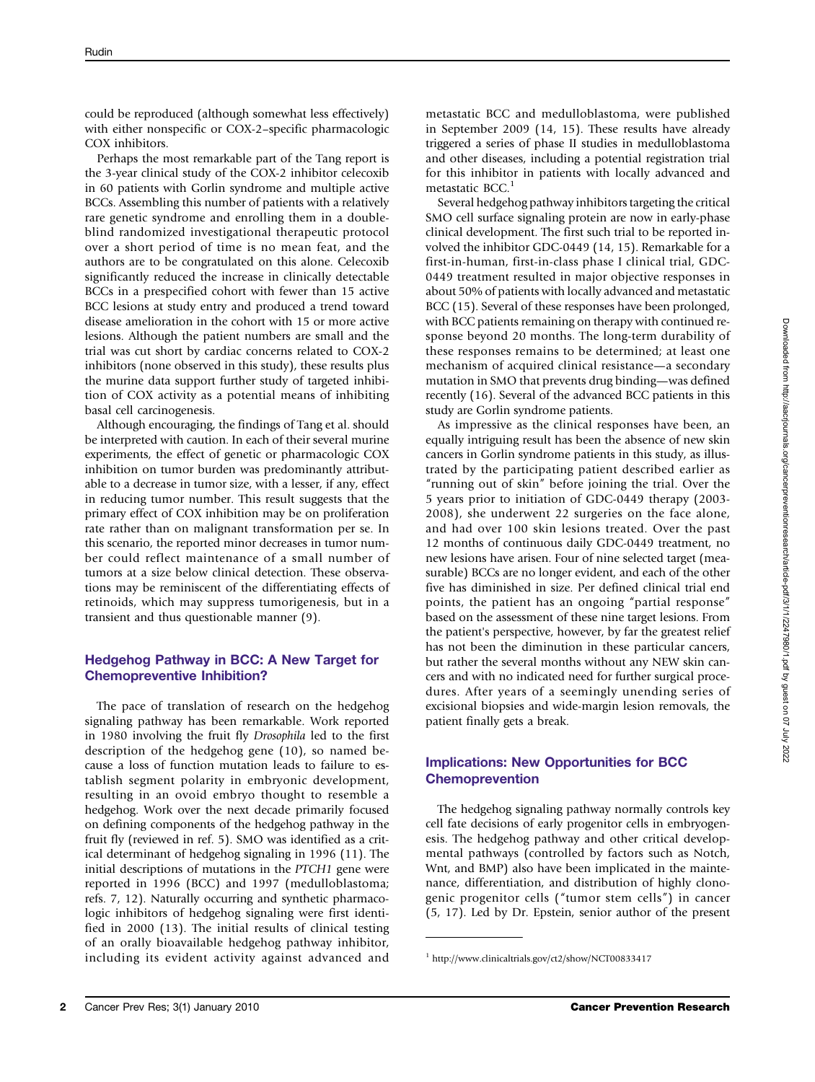could be reproduced (although somewhat less effectively) with either nonspecific or COX-2–specific pharmacologic COX inhibitors.

Perhaps the most remarkable part of the Tang report is the 3-year clinical study of the COX-2 inhibitor celecoxib in 60 patients with Gorlin syndrome and multiple active BCCs. Assembling this number of patients with a relatively rare genetic syndrome and enrolling them in a doubleblind randomized investigational therapeutic protocol over a short period of time is no mean feat, and the authors are to be congratulated on this alone. Celecoxib significantly reduced the increase in clinically detectable BCCs in a prespecified cohort with fewer than 15 active BCC lesions at study entry and produced a trend toward disease amelioration in the cohort with 15 or more active lesions. Although the patient numbers are small and the trial was cut short by cardiac concerns related to COX-2 inhibitors (none observed in this study), these results plus the murine data support further study of targeted inhibition of COX activity as a potential means of inhibiting basal cell carcinogenesis.

Although encouraging, the findings of Tang et al. should be interpreted with caution. In each of their several murine experiments, the effect of genetic or pharmacologic COX inhibition on tumor burden was predominantly attributable to a decrease in tumor size, with a lesser, if any, effect in reducing tumor number. This result suggests that the primary effect of COX inhibition may be on proliferation rate rather than on malignant transformation per se. In this scenario, the reported minor decreases in tumor number could reflect maintenance of a small number of tumors at a size below clinical detection. These observations may be reminiscent of the differentiating effects of retinoids, which may suppress tumorigenesis, but in a transient and thus questionable manner (9).

## Hedgehog Pathway in BCC: A New Target for Chemopreventive Inhibition?

The pace of translation of research on the hedgehog signaling pathway has been remarkable. Work reported in 1980 involving the fruit fly Drosophila led to the first description of the hedgehog gene (10), so named because a loss of function mutation leads to failure to establish segment polarity in embryonic development, resulting in an ovoid embryo thought to resemble a hedgehog. Work over the next decade primarily focused on defining components of the hedgehog pathway in the fruit fly (reviewed in ref. 5). SMO was identified as a critical determinant of hedgehog signaling in 1996 (11). The initial descriptions of mutations in the PTCH1 gene were reported in 1996 (BCC) and 1997 (medulloblastoma; refs. 7, 12). Naturally occurring and synthetic pharmacologic inhibitors of hedgehog signaling were first identified in 2000 (13). The initial results of clinical testing of an orally bioavailable hedgehog pathway inhibitor, including its evident activity against advanced and

metastatic BCC and medulloblastoma, were published in September 2009 (14, 15). These results have already triggered a series of phase II studies in medulloblastoma and other diseases, including a potential registration trial for this inhibitor in patients with locally advanced and metastatic BCC.<sup>1</sup>

Several hedgehog pathway inhibitors targeting the critical SMO cell surface signaling protein are now in early-phase clinical development. The first such trial to be reported involved the inhibitor GDC-0449 (14, 15). Remarkable for a first-in-human, first-in-class phase I clinical trial, GDC-0449 treatment resulted in major objective responses in about 50% of patients with locally advanced and metastatic BCC (15). Several of these responses have been prolonged, with BCC patients remaining on therapy with continued response beyond 20 months. The long-term durability of these responses remains to be determined; at least one mechanism of acquired clinical resistance—a secondary mutation in SMO that prevents drug binding—was defined recently (16). Several of the advanced BCC patients in this study are Gorlin syndrome patients.

As impressive as the clinical responses have been, an equally intriguing result has been the absence of new skin cancers in Gorlin syndrome patients in this study, as illustrated by the participating patient described earlier as "running out of skin" before joining the trial. Over the 5 years prior to initiation of GDC-0449 therapy (2003- 2008), she underwent 22 surgeries on the face alone, and had over 100 skin lesions treated. Over the past 12 months of continuous daily GDC-0449 treatment, no new lesions have arisen. Four of nine selected target (measurable) BCCs are no longer evident, and each of the other five has diminished in size. Per defined clinical trial end points, the patient has an ongoing "partial response" based on the assessment of these nine target lesions. From the patient's perspective, however, by far the greatest relief has not been the diminution in these particular cancers, but rather the several months without any NEW skin cancers and with no indicated need for further surgical procedures. After years of a seemingly unending series of excisional biopsies and wide-margin lesion removals, the patient finally gets a break.

# Implications: New Opportunities for BCC Chemoprevention

The hedgehog signaling pathway normally controls key cell fate decisions of early progenitor cells in embryogenesis. The hedgehog pathway and other critical developmental pathways (controlled by factors such as Notch, Wnt, and BMP) also have been implicated in the maintenance, differentiation, and distribution of highly clonogenic progenitor cells ("tumor stem cells") in cancer (5, 17). Led by Dr. Epstein, senior author of the present

<sup>1</sup> http://www.clinicaltrials.gov/ct2/show/NCT00833417